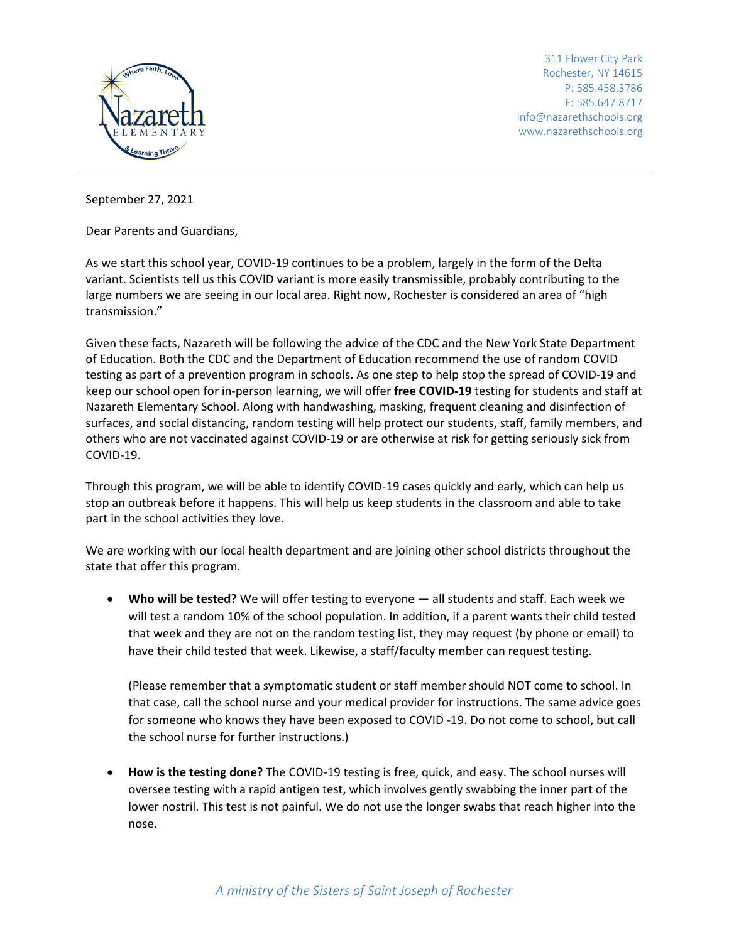

311 Flower City Park Rochester, NY 14615 P: 585.458.3786 F: 585.647.8717 info@nazarethschools.org www.nazarethschools.org

September 27, 2021

Dear Parents and Guardians,

As we start this school year, COVID-19 continues to be a problem, largely in the form of the Delta variant. Scientists tell us this COVID variant is more easily transmissible, probably contributing to the large numbers we are seeing in our local area. Right now, Rochester is considered an area of "high transmission."

Given these facts, Nazareth will be following the advice of the CDC and the New York State Department of Education. Both the CDC and the Department of Education recommend the use of random COVID testing as part of a prevention program in schools. As one step to help stop the spread of COVID-19 and keep our school open for in-person learning, we will offer **free COVID-19** testing for students and staff at Nazareth Elementary School. Along with handwashing, masking, frequent cleaning and disinfection of surfaces, and social distancing, random testing will help protect our students, staff, family members, and others who are not vaccinated against COVID-19 or are otherwise at risk for getting seriously sick from COVID-19.

Through this program, we will be able to identify COVID-19 cases quickly and early, which can help us stop an outbreak before it happens. This will help us keep students in the classroom and able to take part in the school activities they love.

We are working with our local health department and are joining other school districts throughout the state that offer this program.

• **Who will be tested?** We will offer testing to everyone — all students and staff. Each week we will test a random 10% of the school population. In addition, if a parent wants their child tested that week and they are not on the random testing list, they may request (by phone or email) to have their child tested that week. Likewise, a staff/faculty member can request testing.

(Please remember that a symptomatic student or staff member should NOT come to school. In that case, call the school nurse and your medical provider for instructions. The same advice goes for someone who knows they have been exposed to COVID -19. Do not come to school, but call the school nurse for further instructions.)

• **How is the testing done?** The COVID-19 testing is free, quick, and easy. The school nurses will oversee testing with a rapid antigen test, which involves gently swabbing the inner part of the lower nostril. This test is not painful. We do not use the longer swabs that reach higher into the nose.